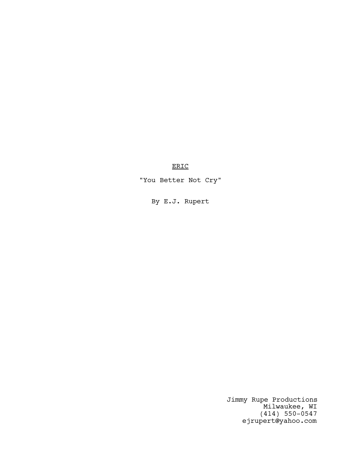ERIC

"You Better Not Cry"

By E.J. Rupert

Jimmy Rupe Productions Milwaukee, WI (414) 550-0547 ejrupert@yahoo.com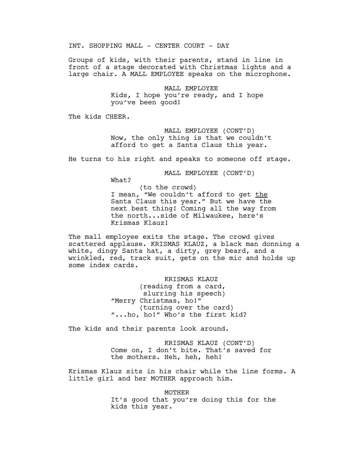INT. SHOPPING MALL - CENTER COURT - DAY

Groups of kids, with their parents, stand in line in front of a stage decorated with Christmas lights and a large chair. A MALL EMPLOYEE speaks on the microphone.

> MALL EMPLOYEE Kids, I hope you're ready, and I hope you've been good!

The kids CHEER.

MALL EMPLOYEE (CONT'D) Now, the only thing is that we couldn't afford to get a Santa Claus this year.

He turns to his right and speaks to someone off stage.

MALL EMPLOYEE (CONT'D)

What?

(to the crowd) I mean, "We couldn't afford to get the Santa Claus this year." But we have the next best thing! Coming all the way from the north...side of Milwaukee, here's Krismas Klauz!

The mall employee exits the stage. The crowd gives scattered applause. KRISMAS KLAUZ, a black man donning a white, dingy Santa hat, a dirty, grey beard, and a wrinkled, red, track suit, gets on the mic and holds up some index cards.

> KRISMAS KLAUZ (reading from a card, slurring his speech) "Merry Christmas, ho!" (turning over the card) "...ho, ho!" Who's the first kid?

The kids and their parents look around.

KRISMAS KLAUZ (CONT'D) Come on, I don't bite. That's saved for the mothers. Heh, heh, heh!

Krismas Klauz sits in his chair while the line forms. A little girl and her MOTHER approach him.

> MOTHER It's good that you're doing this for the kids this year.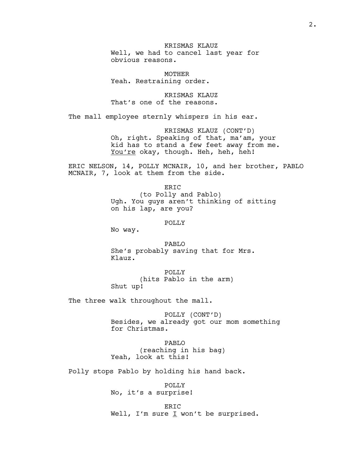KRISMAS KLAUZ Well, we had to cancel last year for obvious reasons.

MOTHER Yeah. Restraining order.

KRISMAS KLAUZ That's one of the reasons.

The mall employee sternly whispers in his ear.

KRISMAS KLAUZ (CONT'D) Oh, right. Speaking of that, ma'am, your kid has to stand a few feet away from me. You're okay, though. Heh, heh, heh!

ERIC NELSON, 14, POLLY MCNAIR, 10, and her brother, PABLO MCNAIR, 7, look at them from the side.

> ERIC (to Polly and Pablo) Ugh. You guys aren't thinking of sitting on his lap, are you?

> > POLLY

No way.

PABLO She's probably saving that for Mrs. Klauz.

POLLY (hits Pablo in the arm) Shut up!

The three walk throughout the mall.

POLLY (CONT'D) Besides, we already got our mom something for Christmas.

PABLO (reaching in his bag) Yeah, look at this!

Polly stops Pablo by holding his hand back.

POLLY No, it's a surprise!

ER<sub>TC</sub> Well, I'm sure  $I$  won't be surprised.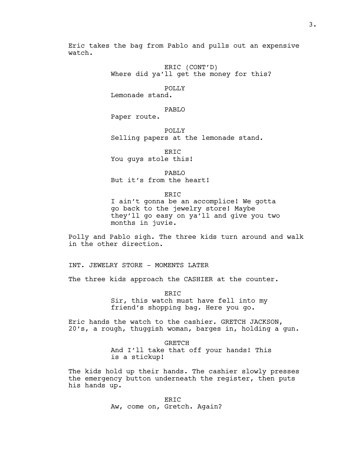Eric takes the bag from Pablo and pulls out an expensive watch.

> ERIC (CONT'D) Where did ya'll get the money for this?

# POLLY

Lemonade stand.

### PABLO

Paper route.

POLLY Selling papers at the lemonade stand.

ER<sub>TC</sub> You guys stole this!

PABLO But it's from the heart!

ERIC

I ain't gonna be an accomplice! We gotta go back to the jewelry store! Maybe they'll go easy on ya'll and give you two months in juvie.

Polly and Pablo sigh. The three kids turn around and walk in the other direction.

INT. JEWELRY STORE - MOMENTS LATER

The three kids approach the CASHIER at the counter.

ERIC Sir, this watch must have fell into my friend's shopping bag. Here you go.

Eric hands the watch to the cashier. GRETCH JACKSON, 20's, a rough, thuggish woman, barges in, holding a gun.

> GRETCH And I'll take that off your hands! This is a stickup!

The kids hold up their hands. The cashier slowly presses the emergency button underneath the register, then puts his hands up.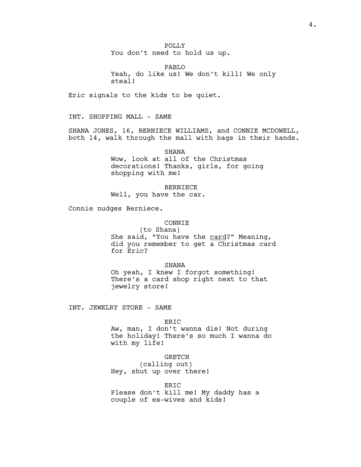POLLY You don't need to hold us up.

PABLO Yeah, do like us! We don't kill! We only steal!

Eric signals to the kids to be quiet.

INT. SHOPPING MALL - SAME

SHANA JONES, 16, BERNIECE WILLIAMS, and CONNIE MCDOWELL, both 14, walk through the mall with bags in their hands.

> SHANA Wow, look at all of the Christmas decorations! Thanks, girls, for going shopping with me!

BERNIECE Well, you have the car.

Connie nudges Berniece.

### CONNIE

(to Shana) She said, "You have the card?" Meaning, did you remember to get a Christmas card for Eric?

### SHANA

Oh yeah, I knew I forgot something! There's a card shop right next to that jewelry store!

INT. JEWELRY STORE - SAME

#### ERIC

Aw, man, I don't wanna die! Not during the holiday! There's so much I wanna do with my life!

### GRETCH

(calling out) Hey, shut up over there!

ERIC

Please don't kill me! My daddy has a couple of ex-wives and kids!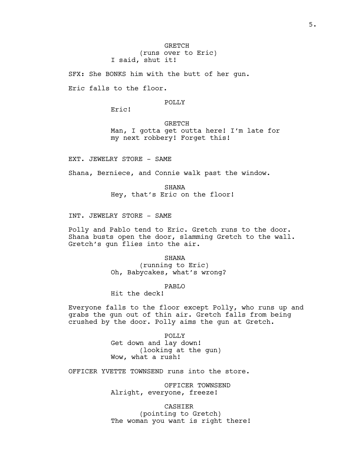SFX: She BONKS him with the butt of her gun.

Eric falls to the floor.

### POLLY

Eric!

GRETCH Man, I gotta get outta here! I'm late for my next robbery! Forget this!

EXT. JEWELRY STORE - SAME

Shana, Berniece, and Connie walk past the window.

SHANA Hey, that's Eric on the floor!

INT. JEWELRY STORE - SAME

Polly and Pablo tend to Eric. Gretch runs to the door. Shana busts open the door, slamming Gretch to the wall. Gretch's gun flies into the air.

> SHANA (running to Eric) Oh, Babycakes, what's wrong?

### PABLO

Hit the deck!

Everyone falls to the floor except Polly, who runs up and grabs the gun out of thin air. Gretch falls from being crushed by the door. Polly aims the gun at Gretch.

> POLLY Get down and lay down! (looking at the gun) Wow, what a rush!

OFFICER YVETTE TOWNSEND runs into the store.

OFFICER TOWNSEND Alright, everyone, freeze!

CASHIER

(pointing to Gretch) The woman you want is right there!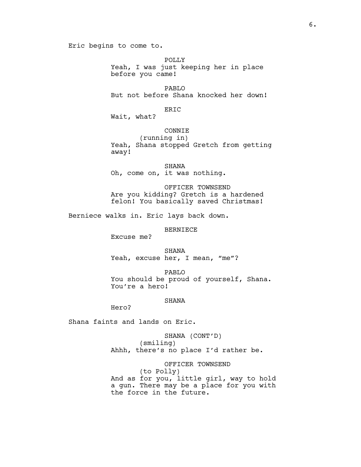Eric begins to come to.

POLLY Yeah, I was just keeping her in place before you came!

PABLO But not before Shana knocked her down!

ERIC

Wait, what?

### CONNIE

(running in) Yeah, Shana stopped Gretch from getting away!

SHANA Oh, come on, it was nothing.

OFFICER TOWNSEND Are you kidding? Gretch is a hardened felon! You basically saved Christmas!

Berniece walks in. Eric lays back down.

BERNIECE

Excuse me?

SHANA Yeah, excuse her, I mean, "me"?

PABLO You should be proud of yourself, Shana. You're a hero!

#### SHANA

Hero?

Shana faints and lands on Eric.

SHANA (CONT'D) (smiling) Ahhh, there's no place I'd rather be.

OFFICER TOWNSEND (to Polly) And as for you, little girl, way to hold a gun. There may be a place for you with the force in the future.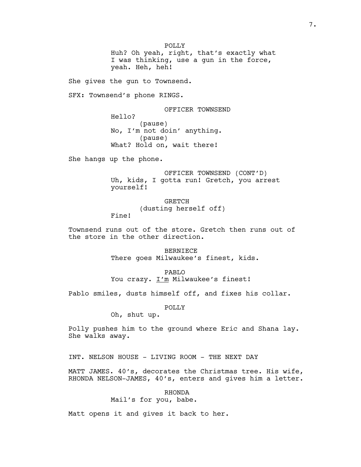POLLY Huh? Oh yeah, right, that's exactly what I was thinking, use a gun in the force, yeah. Heh, heh!

She gives the gun to Townsend.

SFX: Townsend's phone RINGS.

OFFICER TOWNSEND Hello? (pause) No, I'm not doin' anything. (pause) What? Hold on, wait there!

She hangs up the phone.

Fine!

OFFICER TOWNSEND (CONT'D) Uh, kids, I gotta run! Gretch, you arrest yourself!

> GRETCH (dusting herself off)

Townsend runs out of the store. Gretch then runs out of the store in the other direction.

> BERNIECE There goes Milwaukee's finest, kids.

PABLO You crazy. I'm Milwaukee's finest!

Pablo smiles, dusts himself off, and fixes his collar.

POLLY

Oh, shut up.

Polly pushes him to the ground where Eric and Shana lay. She walks away.

INT. NELSON HOUSE - LIVING ROOM - THE NEXT DAY

MATT JAMES. 40's, decorates the Christmas tree. His wife, RHONDA NELSON-JAMES, 40's, enters and gives him a letter.

RHONDA

Mail's for you, babe.

Matt opens it and gives it back to her.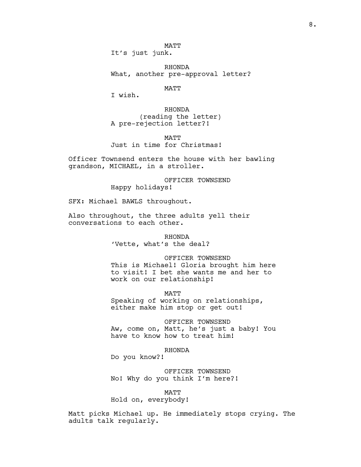MATT It's just junk.

RHONDA What, another pre-approval letter?

MATT

I wish.

RHONDA (reading the letter) A pre-rejection letter?!

**MATT** Just in time for Christmas!

Officer Townsend enters the house with her bawling grandson, MICHAEL, in a stroller.

> OFFICER TOWNSEND Happy holidays!

SFX: Michael BAWLS throughout.

Also throughout, the three adults yell their conversations to each other.

> RHONDA 'Vette, what's the deal?

> > OFFICER TOWNSEND

This is Michael! Gloria brought him here to visit! I bet she wants me and her to work on our relationship!

**MATT** 

Speaking of working on relationships, either make him stop or get out!

OFFICER TOWNSEND Aw, come on, Matt, he's just a baby! You have to know how to treat him!

RHONDA

Do you know?!

OFFICER TOWNSEND No! Why do you think I'm here?!

MATT

Hold on, everybody!

Matt picks Michael up. He immediately stops crying. The adults talk regularly.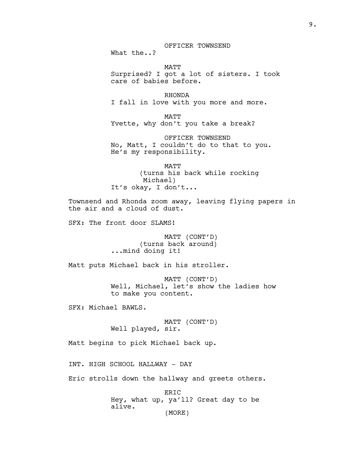# OFFICER TOWNSEND

What the..?

MATT Surprised? I got a lot of sisters. I took care of babies before.

RHONDA I fall in love with you more and more.

MATT Yvette, why don't you take a break?

OFFICER TOWNSEND No, Matt, I couldn't do to that to you. He's my responsibility.

MATT (turns his back while rocking Michael) It's okay, I don't...

Townsend and Rhonda zoom away, leaving flying papers in the air and a cloud of dust.

SFX: The front door SLAMS!

MATT (CONT'D) (turns back around) ...mind doing it!

Matt puts Michael back in his stroller.

MATT (CONT'D) Well, Michael, let's show the ladies how to make you content.

SFX: Michael BAWLS.

MATT (CONT'D) Well played, sir.

Matt begins to pick Michael back up.

INT. HIGH SCHOOL HALLWAY - DAY

Eric strolls down the hallway and greets others.

ERIC Hey, what up, ya'll? Great day to be alive. (MORE)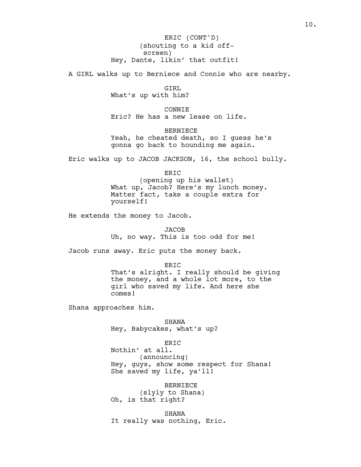(shouting to a kid offscreen) Hey, Dante, likin' that outfit! ERIC (CONT'D)

A GIRL walks up to Berniece and Connie who are nearby.

GIRL What's up with him?

CONNIE Eric? He has a new lease on life.

BERNIECE Yeah, he cheated death, so I quess he's gonna go back to hounding me again.

Eric walks up to JACOB JACKSON, 16, the school bully.

ERIC

(opening up his wallet) What up, Jacob? Here's my lunch money. Matter fact, take a couple extra for yourself!

He extends the money to Jacob.

**JACOB** Uh, no way. This is too odd for me!

Jacob runs away. Eric puts the money back.

ERIC

That's alright. I really should be giving the money, and a whole lot more, to the girl who saved my life. And here she comes!

Shana approaches him.

SHANA Hey, Babycakes, what's up?

ERIC Nothin' at all. (announcing) Hey, guys, show some respect for Shana! She saved my life, ya'll!

BERNIECE (slyly to Shana) Oh, is that right?

SHANA It really was nothing, Eric.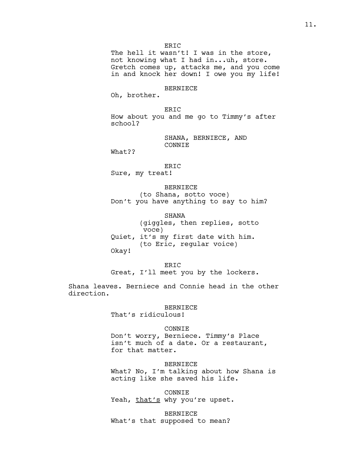The hell it wasn't! I was in the store, not knowing what I had in...uh, store. Gretch comes up, attacks me, and you come in and knock her down! I owe you my life!

#### BERNIECE

Oh, brother.

ERIC How about you and me go to Timmy's after school?

> SHANA, BERNIECE, AND CONNIE

What??

# ERIC

Sure, my treat!

BERNIECE (to Shana, sotto voce) Don't you have anything to say to him?

SHANA (giggles, then replies, sotto voce) Quiet, it's my first date with him. (to Eric, regular voice) Okay!

ER<sub>TC</sub>

Great, I'll meet you by the lockers.

Shana leaves. Berniece and Connie head in the other direction.

### BERNIECE

That's ridiculous!

#### CONNIE

Don't worry, Berniece. Timmy's Place isn't much of a date. Or a restaurant, for that matter.

BERNIECE What? No, I'm talking about how Shana is acting like she saved his life.

CONNIE Yeah, that's why you're upset.

BERNIECE What's that supposed to mean?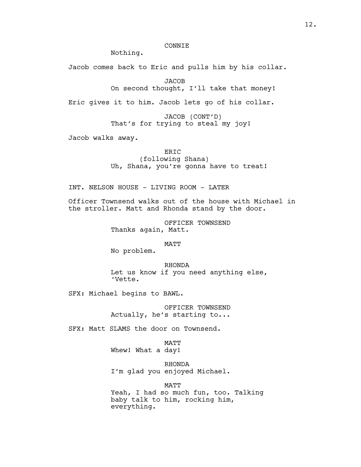# CONNIE

Nothing.

Jacob comes back to Eric and pulls him by his collar.

**JACOB** 

On second thought, I'll take that money!

Eric gives it to him. Jacob lets go of his collar.

JACOB (CONT'D) That's for trying to steal my joy!

Jacob walks away.

ERIC (following Shana) Uh, Shana, you're gonna have to treat!

INT. NELSON HOUSE - LIVING ROOM - LATER

Officer Townsend walks out of the house with Michael in the stroller. Matt and Rhonda stand by the door.

> OFFICER TOWNSEND Thanks again, Matt.

> > MATT

No problem.

RHONDA Let us know if you need anything else, 'Vette.

SFX: Michael begins to BAWL.

OFFICER TOWNSEND Actually, he's starting to...

SFX: Matt SLAMS the door on Townsend.

**MATT** Whew! What a day!

RHONDA I'm glad you enjoyed Michael.

**MATT** Yeah, I had so much fun, too. Talking baby talk to him, rocking him, everything.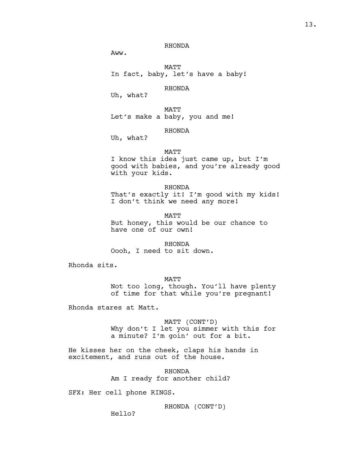# RHONDA

Aww.

MATT In fact, baby, let's have a baby!

RHONDA

Uh, what?

MATT Let's make a baby, you and me!

# RHONDA

Uh, what?

### MATT

I know this idea just came up, but I'm good with babies, and you're already good with your kids.

RHONDA That's exactly it! I'm good with my kids! I don't think we need any more!

**MATT** But honey, this would be our chance to have one of our own!

RHONDA Oooh, I need to sit down.

Rhonda sits.

MATT Not too long, though. You'll have plenty of time for that while you're pregnant!

Rhonda stares at Matt.

MATT (CONT'D) Why don't I let you simmer with this for a minute? I'm goin' out for a bit.

He kisses her on the cheek, claps his hands in excitement, and runs out of the house.

> RHONDA Am I ready for another child?

SFX: Her cell phone RINGS.

RHONDA (CONT'D)

Hello?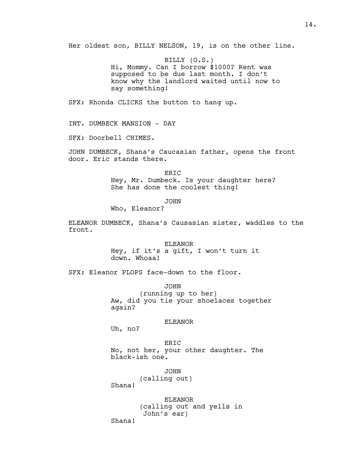Her oldest son, BILLY NELSON, 19, is on the other line.

BILLY (O.S.) Hi, Mommy. Can I borrow \$1000? Rent was supposed to be due last month. I don't know why the landlord waited until now to say something!

SFX: Rhonda CLICKS the button to hang up.

INT. DUMBECK MANSION - DAY

SFX: Doorbell CHIMES.

JOHN DUMBECK, Shana's Caucasian father, opens the front door. Eric stands there.

> ERIC Hey, Mr. Dumbeck. Is your daughter here? She has done the coolest thing!

> > JOHN

Who, Eleanor?

ELEANOR DUMBECK, Shana's Causasian sister, waddles to the front.

> ELEANOR Hey, if it's a gift, I won't turn it down. Whoaa!

SFX: Eleanor PLOPS face-down to the floor.

JOHN (running up to her) Aw, did you tie your shoelaces together again?

## ELEANOR

Uh, no?

ERIC No, not her, your other daughter. The black-ish one.

JOHN

(calling out)

Shana!

ELEANOR (calling out and yells in John's ear)

Shana!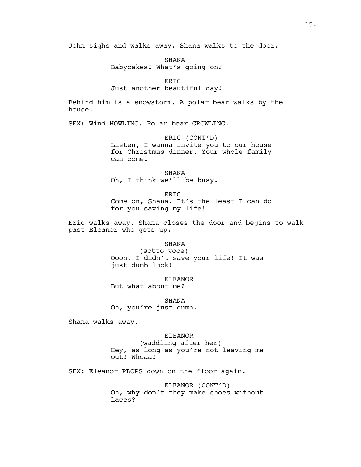John sighs and walks away. Shana walks to the door.

SHANA

Babycakes! What's going on?

ERIC

## Just another beautiful day!

Behind him is a snowstorm. A polar bear walks by the house.

SFX: Wind HOWLING. Polar bear GROWLING.

ERIC (CONT'D) Listen, I wanna invite you to our house for Christmas dinner. Your whole family can come.

SHANA Oh, I think we'll be busy.

ERIC Come on, Shana. It's the least I can do for you saving my life!

Eric walks away. Shana closes the door and begins to walk past Eleanor who gets up.

SHANA

(sotto voce) Oooh, I didn't save your life! It was just dumb luck!

ELEANOR But what about me?

SHANA Oh, you're just dumb.

Shana walks away.

#### ELEANOR

(waddling after her) Hey, as long as you're not leaving me out! Whoaa!

SFX: Eleanor PLOPS down on the floor again.

ELEANOR (CONT'D) Oh, why don't they make shoes without laces?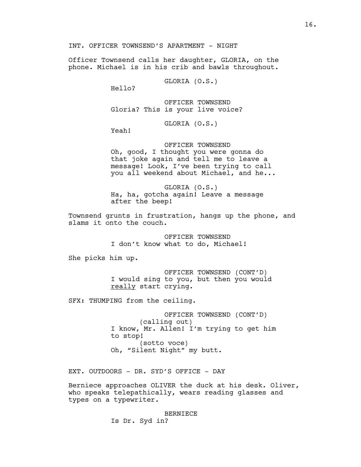INT. OFFICER TOWNSEND'S APARTMENT - NIGHT

Officer Townsend calls her daughter, GLORIA, on the phone. Michael is in his crib and bawls throughout.

GLORIA (O.S.)

Hello?

OFFICER TOWNSEND Gloria? This is your live voice?

GLORIA (O.S.)

Yeah!

OFFICER TOWNSEND

Oh, good, I thought you were gonna do that joke again and tell me to leave a message! Look, I've been trying to call you all weekend about Michael, and he...

GLORIA (O.S.) Ha, ha, gotcha again! Leave a message after the beep!

Townsend grunts in frustration, hangs up the phone, and slams it onto the couch.

> OFFICER TOWNSEND I don't know what to do, Michael!

She picks him up.

OFFICER TOWNSEND (CONT'D) I would sing to you, but then you would really start crying.

SFX: THUMPING from the ceiling.

OFFICER TOWNSEND (CONT'D) (calling out) I know, Mr. Allen! I'm trying to get him to stop! (sotto voce) Oh, "Silent Night" my butt.

EXT. OUTDOORS - DR. SYD'S OFFICE - DAY

Berniece approaches OLIVER the duck at his desk. Oliver, who speaks telepathically, wears reading glasses and types on a typewriter.

BERNIECE

Is Dr. Syd in?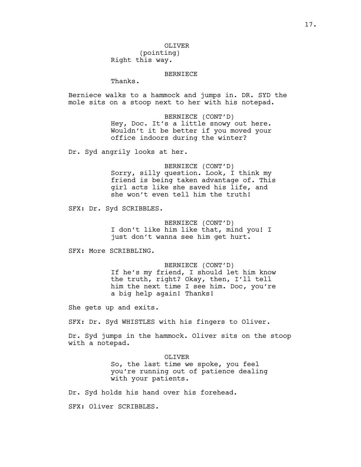#### BERNIECE

Thanks.

Berniece walks to a hammock and jumps in. DR. SYD the mole sits on a stoop next to her with his notepad.

> BERNIECE (CONT'D) Hey, Doc. It's a little snowy out here. Wouldn't it be better if you moved your office indoors during the winter?

Dr. Syd angrily looks at her.

BERNIECE (CONT'D) Sorry, silly question. Look, I think my friend is being taken advantage of. This girl acts like she saved his life, and she won't even tell him the truth!

SFX: Dr. Syd SCRIBBLES.

BERNIECE (CONT'D) I don't like him like that, mind you! I just don't wanna see him get hurt.

SFX: More SCRIBBLING.

BERNIECE (CONT'D) If he's my friend, I should let him know the truth, right? Okay, then, I'll tell him the next time I see him. Doc, you're a big help again! Thanks!

She gets up and exits.

SFX: Dr. Syd WHISTLES with his fingers to Oliver.

Dr. Syd jumps in the hammock. Oliver sits on the stoop with a notepad.

OLIVER

So, the last time we spoke, you feel you're running out of patience dealing with your patients.

Dr. Syd holds his hand over his forehead.

SFX: Oliver SCRIBBLES.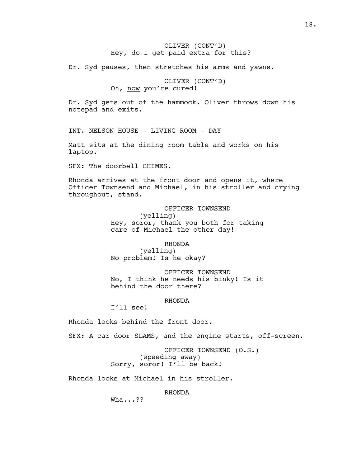# OLIVER (CONT'D) Hey, do I get paid extra for this?

Dr. Syd pauses, then stretches his arms and yawns.

OLIVER (CONT'D) Oh, now you're cured!

Dr. Syd gets out of the hammock. Oliver throws down his notepad and exits.

INT. NELSON HOUSE - LIVING ROOM - DAY

Matt sits at the dining room table and works on his laptop.

SFX: The doorbell CHIMES.

Rhonda arrives at the front door and opens it, where Officer Townsend and Michael, in his stroller and crying throughout, stand.

> OFFICER TOWNSEND (yelling) Hey, soror, thank you both for taking care of Michael the other day!

> > RHONDA

(yelling) No problem! Is he okay?

OFFICER TOWNSEND No, I think he needs his binky! Is it behind the door there?

### RHONDA

I'll see!

Rhonda looks behind the front door.

SFX: A car door SLAMS, and the engine starts, off-screen.

OFFICER TOWNSEND (O.S.) (speeding away) Sorry, soror! I'll be back!

Rhonda looks at Michael in his stroller.

RHONDA

Wha...??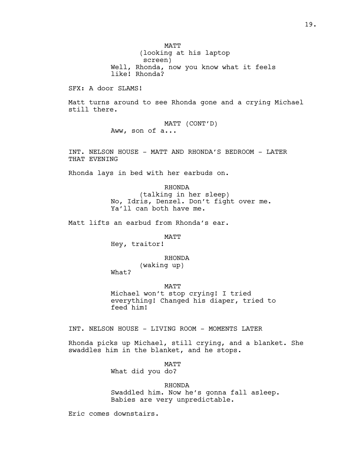MATT (looking at his laptop screen) Well, Rhonda, now you know what it feels like! Rhonda?

SFX: A door SLAMS!

Matt turns around to see Rhonda gone and a crying Michael still there.

> MATT (CONT'D) Aww, son of a...

INT. NELSON HOUSE - MATT AND RHONDA'S BEDROOM - LATER THAT EVENING

Rhonda lays in bed with her earbuds on.

RHONDA (talking in her sleep) No, Idris, Denzel. Don't fight over me. Ya'll can both have me.

Matt lifts an earbud from Rhonda's ear.

MATT

Hey, traitor!

RHONDA

(waking up)

What?

MATT

Michael won't stop crying! I tried everything! Changed his diaper, tried to feed him!

INT. NELSON HOUSE - LIVING ROOM - MOMENTS LATER

Rhonda picks up Michael, still crying, and a blanket. She swaddles him in the blanket, and he stops.

MATT

What did you do?

RHONDA Swaddled him. Now he's gonna fall asleep. Babies are very unpredictable.

Eric comes downstairs.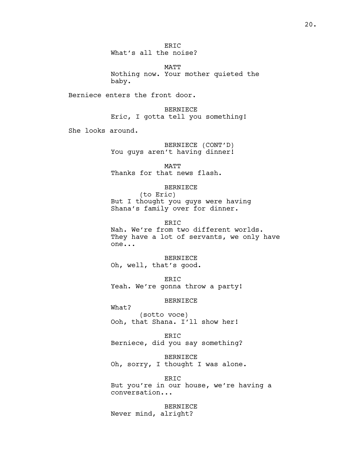ER<sub>TC</sub> What's all the noise?

MATT Nothing now. Your mother quieted the baby.

Berniece enters the front door.

BERNIECE Eric, I gotta tell you something!

She looks around.

BERNIECE (CONT'D) You guys aren't having dinner!

MATT Thanks for that news flash.

BERNIECE

(to Eric) But I thought you guys were having Shana's family over for dinner.

ER<sub>TC</sub>

Nah. We're from two different worlds. They have a lot of servants, we only have one...

BERNIECE Oh, well, that's good.

ERIC Yeah. We're gonna throw a party!

BERNIECE

What? (sotto voce) Ooh, that Shana. I'll show her!

ERIC Berniece, did you say something?

BERNIECE Oh, sorry, I thought I was alone.

ERIC But you're in our house, we're having a conversation...

BERNIECE Never mind, alright?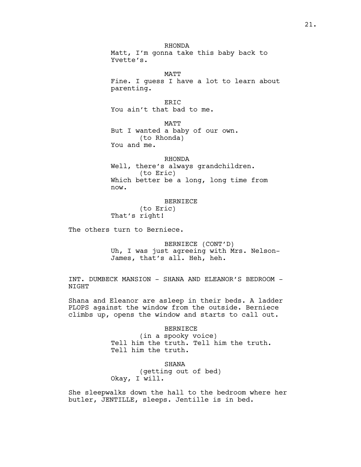RHONDA Matt, I'm gonna take this baby back to Yvette's.

**MATT** Fine. I guess I have a lot to learn about parenting.

ER<sub>TC</sub> You ain't that bad to me.

MATT But I wanted a baby of our own. (to Rhonda) You and me.

RHONDA

Well, there's always grandchildren. (to Eric) Which better be a long, long time from now.

BERNIECE

(to Eric) That's right!

The others turn to Berniece.

BERNIECE (CONT'D) Uh, I was just agreeing with Mrs. Nelson-James, that's all. Heh, heh.

INT. DUMBECK MANSION - SHANA AND ELEANOR'S BEDROOM - NIGHT

Shana and Eleanor are asleep in their beds. A ladder PLOPS against the window from the outside. Berniece climbs up, opens the window and starts to call out.

> BERNIECE (in a spooky voice) Tell him the truth. Tell him the truth. Tell him the truth.

SHANA (getting out of bed) Okay, I will.

She sleepwalks down the hall to the bedroom where her butler, JENTILLE, sleeps. Jentille is in bed.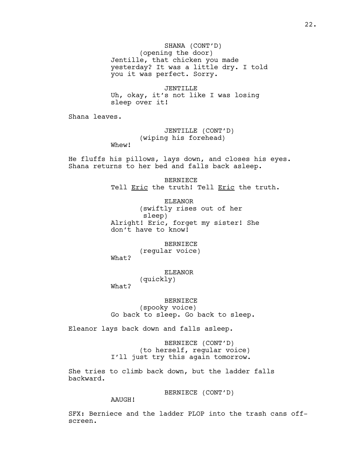SHANA (CONT'D) (opening the door) Jentille, that chicken you made yesterday? It was a little dry. I told you it was perfect. Sorry.

JENTILLE Uh, okay, it's not like I was losing sleep over it!

Shana leaves.

JENTILLE (CONT'D) (wiping his forehead) Whew!

He fluffs his pillows, lays down, and closes his eyes. Shana returns to her bed and falls back asleep.

> BERNIECE Tell Eric the truth! Tell Eric the truth.

ELEANOR (swiftly rises out of her sleep) Alright! Eric, forget my sister! She don't have to know!

BERNIECE (regular voice) What?

> ELEANOR (quickly)

What?

BERNIECE

(spooky voice) Go back to sleep. Go back to sleep.

Eleanor lays back down and falls asleep.

BERNIECE (CONT'D) (to herself, regular voice) I'll just try this again tomorrow.

She tries to climb back down, but the ladder falls backward.

BERNIECE (CONT'D)

AAUGH!

SFX: Berniece and the ladder PLOP into the trash cans offscreen.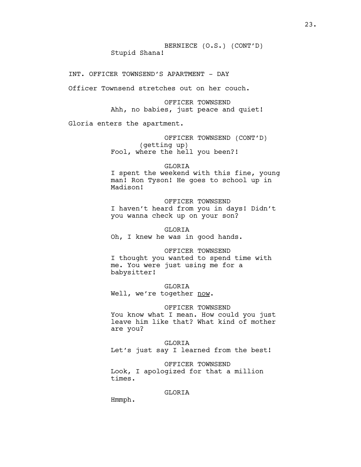INT. OFFICER TOWNSEND'S APARTMENT - DAY

Officer Townsend stretches out on her couch.

OFFICER TOWNSEND Ahh, no babies, just peace and quiet!

Gloria enters the apartment.

OFFICER TOWNSEND (CONT'D) (getting up) Fool, where the hell you been?!

GLORIA

I spent the weekend with this fine, young man! Ron Tyson! He goes to school up in Madison!

OFFICER TOWNSEND I haven't heard from you in days! Didn't you wanna check up on your son?

GLORIA Oh, I knew he was in good hands.

OFFICER TOWNSEND I thought you wanted to spend time with

me. You were just using me for a babysitter!

GLORIA Well, we're together now.

OFFICER TOWNSEND You know what I mean. How could you just leave him like that? What kind of mother

are you?

GLORIA Let's just say I learned from the best!

OFFICER TOWNSEND Look, I apologized for that a million times.

GLORIA

Hmmph.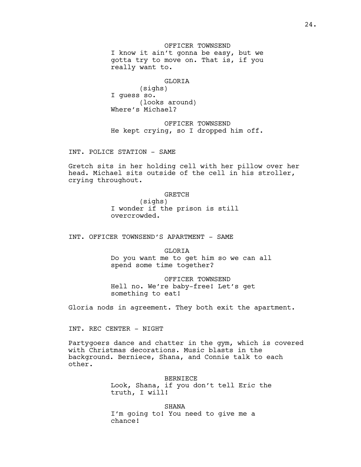OFFICER TOWNSEND I know it ain't gonna be easy, but we gotta try to move on. That is, if you really want to.

### GLORIA

(sighs) I guess so. (looks around) Where's Michael?

OFFICER TOWNSEND He kept crying, so I dropped him off.

INT. POLICE STATION - SAME

Gretch sits in her holding cell with her pillow over her head. Michael sits outside of the cell in his stroller, crying throughout.

#### GRETCH

(sighs) I wonder if the prison is still overcrowded.

INT. OFFICER TOWNSEND'S APARTMENT - SAME

GLORIA Do you want me to get him so we can all spend some time together?

OFFICER TOWNSEND Hell no. We're baby-free! Let's get something to eat!

Gloria nods in agreement. They both exit the apartment.

INT. REC CENTER - NIGHT

Partygoers dance and chatter in the gym, which is covered with Christmas decorations. Music blasts in the background. Berniece, Shana, and Connie talk to each other.

> BERNIECE Look, Shana, if you don't tell Eric the truth, I will!

SHANA I'm going to! You need to give me a chance!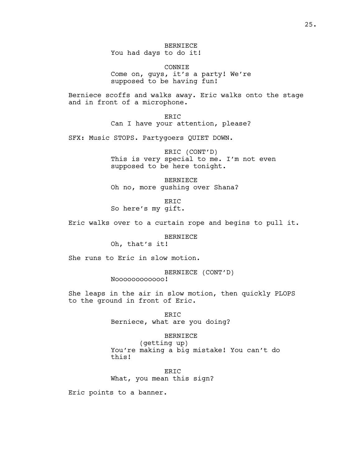BERNIECE You had days to do it!

CONNIE Come on, guys, it's a party! We're supposed to be having fun!

Berniece scoffs and walks away. Eric walks onto the stage and in front of a microphone.

> ERIC Can I have your attention, please?

SFX: Music STOPS. Partygoers QUIET DOWN.

ERIC (CONT'D) This is very special to me. I'm not even supposed to be here tonight.

BERNIECE Oh no, more gushing over Shana?

ERIC So here's my gift.

Eric walks over to a curtain rope and begins to pull it.

BERNIECE

Oh, that's it!

She runs to Eric in slow motion.

BERNIECE (CONT'D) Noooooooooooo!

She leaps in the air in slow motion, then quickly PLOPS to the ground in front of Eric.

> ERIC Berniece, what are you doing?

> > BERNIECE

(getting up) You're making a big mistake! You can't do this!

ER<sub>TC</sub> What, you mean this sign?

Eric points to a banner.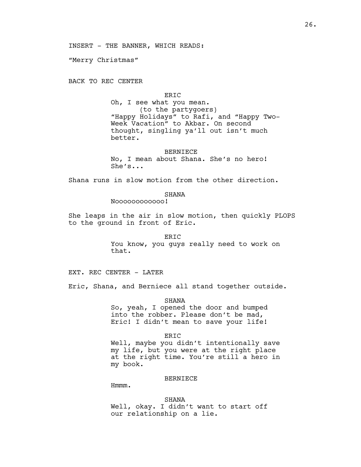"Merry Christmas"

BACK TO REC CENTER

### ERIC

Oh, I see what you mean. (to the partygoers) "Happy Holidays" to Rafi, and "Happy Two-Week Vacation" to Akbar. On second thought, singling ya'll out isn't much better.

#### BERNIECE

No, I mean about Shana. She's no hero! She's...

Shana runs in slow motion from the other direction.

#### SHANA

Noooooooooooo!

She leaps in the air in slow motion, then quickly PLOPS to the ground in front of Eric.

# ERIC You know, you guys really need to work on that.

EXT. REC CENTER - LATER

Eric, Shana, and Berniece all stand together outside.

SHANA

So, yeah, I opened the door and bumped into the robber. Please don't be mad, Eric! I didn't mean to save your life!

#### ERIC

Well, maybe you didn't intentionally save my life, but you were at the right place at the right time. You're still a hero in my book.

### BERNIECE

Hmmm.

SHANA Well, okay. I didn't want to start off our relationship on a lie.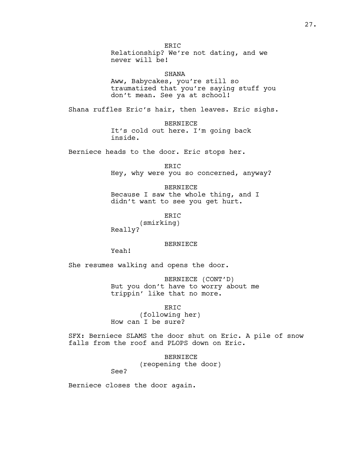ERIC Relationship? We're not dating, and we never will be!

SHANA Aww, Babycakes, you're still so traumatized that you're saying stuff you don't mean. See ya at school!

Shana ruffles Eric's hair, then leaves. Eric sighs.

BERNIECE It's cold out here. I'm going back inside.

Berniece heads to the door. Eric stops her.

ERIC Hey, why were you so concerned, anyway?

BERNIECE Because I saw the whole thing, and I didn't want to see you get hurt.

ERIC (smirking) Really?

### BERNIECE

Yeah!

She resumes walking and opens the door.

BERNIECE (CONT'D) But you don't have to worry about me trippin' like that no more.

ERIC (following her) How can I be sure?

SFX: Berniece SLAMS the door shut on Eric. A pile of snow falls from the roof and PLOPS down on Eric.

> BERNIECE (reopening the door)

See?

Berniece closes the door again.